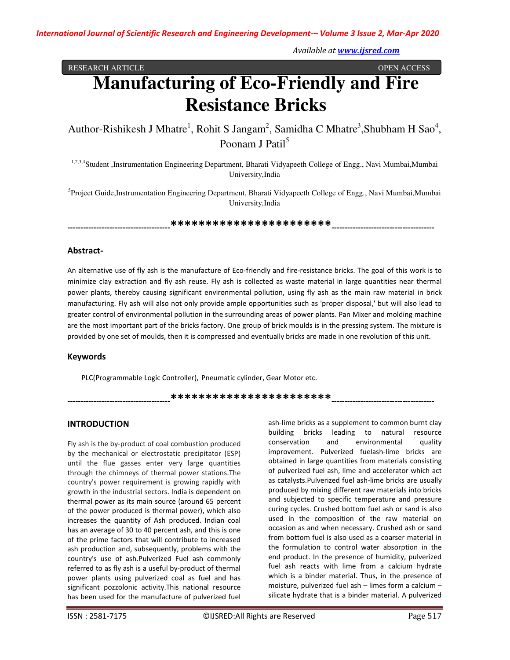*Available at www.ijsred.com*

RESEARCH ARTICLE **CONSERVERS** OPEN ACCESS **OPEN ACCESS** 

# **Manufacturing of Eco-Friendly and Fire Resistance Bricks**

Author-Rishikesh J Mhatre<sup>1</sup>, Rohit S Jangam<sup>2</sup>, Samidha C Mhatre<sup>3</sup>, Shubham H Sao<sup>4</sup>, Poonam J Patil<sup>5</sup>

<sup>1,2,3,4</sup>Student ,Instrumentation Engineering Department, Bharati Vidyapeeth College of Engg., Navi Mumbai,Mumbai University,India

<sup>5</sup>Project Guide,Instrumentation Engineering Department, Bharati Vidyapeeth College of Engg., Navi Mumbai,Mumbai University,India

*---------------------------------------***\*\*\*\*\*\*\*\*\*\*\*\*\*\*\*\*\*\*\*\*\*\*\****---------------------------------------* 

## **Abstract-**

An alternative use of fly ash is the manufacture of Eco-friendly and fire-resistance bricks. The goal of this work is to minimize clay extraction and fly ash reuse. Fly ash is collected as waste material in large quantities near thermal power plants, thereby causing significant environmental pollution, using fly ash as the main raw material in brick manufacturing. Fly ash will also not only provide ample opportunities such as 'proper disposal,' but will also lead to greater control of environmental pollution in the surrounding areas of power plants. Pan Mixer and molding machine are the most important part of the bricks factory. One group of brick moulds is in the pressing system. The mixture is provided by one set of moulds, then it is compressed and eventually bricks are made in one revolution of this unit.

## **Keywords**

PLC(Programmable Logic Controller), Pneumatic cylinder, Gear Motor etc.

\*\*\*\*\*\*\*\*\*\*\*\*\*\*\*\*\*\*\*\*\*\*\*\*\*\*\*\*\*\*\*\*\*<del>\*</del>

## **INTRODUCTION**

Fly ash is the by-product of coal combustion produced by the mechanical or electrostatic precipitator (ESP) until the flue gasses enter very large quantities through the chimneys of thermal power stations.The country's power requirement is growing rapidly with growth in the industrial sectors. India is dependent on thermal power as its main source (around 65 percent of the power produced is thermal power), which also increases the quantity of Ash produced. Indian coal has an average of 30 to 40 percent ash, and this is one of the prime factors that will contribute to increased ash production and, subsequently, problems with the country's use of ash.Pulverized Fuel ash commonly referred to as fly ash is a useful by-product of thermal power plants using pulverized coal as fuel and has significant pozzolonic activity.This national resource has been used for the manufacture of pulverized fuel ash-lime bricks as a supplement to common burnt clay building bricks leading to natural resource conservation and environmental quality improvement. Pulverized fuelash-lime bricks are obtained in large quantities from materials consisting of pulverized fuel ash, lime and accelerator which act as catalysts.Pulverized fuel ash-lime bricks are usually produced by mixing different raw materials into bricks and subjected to specific temperature and pressure curing cycles. Crushed bottom fuel ash or sand is also used in the composition of the raw material on occasion as and when necessary. Crushed ash or sand from bottom fuel is also used as a coarser material in the formulation to control water absorption in the end product. In the presence of humidity, pulverized fuel ash reacts with lime from a calcium hydrate which is a binder material. Thus, in the presence of moisture, pulverized fuel ash – limes form a calcium – silicate hydrate that is a binder material. A pulverized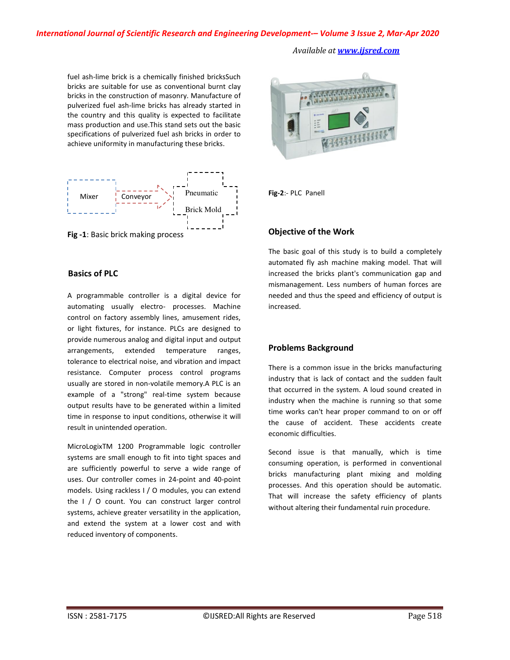#### *International Journal of Scientific Research and Engineering Development-– Volume 3 Issue 2, Mar-Apr 2020*

*Available at www.ijsred.com*

fuel ash-lime brick is a chemically finished bricksSuch bricks are suitable for use as conventional burnt clay bricks in the construction of masonry. Manufacture of pulverized fuel ash-lime bricks has already started in the country and this quality is expected to facilitate mass production and use.This stand sets out the basic specifications of pulverized fuel ash bricks in order to achieve uniformity in manufacturing these bricks.



**Fig -1**: Basic brick making process

## **Basics of PLC**

A programmable controller is a digital device for automating usually electro- processes. Machine control on factory assembly lines, amusement rides, or light fixtures, for instance. PLCs are designed to provide numerous analog and digital input and output arrangements, extended temperature ranges, tolerance to electrical noise, and vibration and impact resistance. Computer process control programs usually are stored in non-volatile memory.A PLC is an example of a "strong" real-time system because output results have to be generated within a limited time in response to input conditions, otherwise it will result in unintended operation.

MicroLogixTM 1200 Programmable logic controller systems are small enough to fit into tight spaces and are sufficiently powerful to serve a wide range of uses. Our controller comes in 24-point and 40-point models. Using rackless I / O modules, you can extend the I / O count. You can construct larger control systems, achieve greater versatility in the application, and extend the system at a lower cost and with reduced inventory of components.



**Fig-2**:- PLC Panell

# **Objective of the Work**

The basic goal of this study is to build a completely automated fly ash machine making model. That will increased the bricks plant's communication gap and mismanagement. Less numbers of human forces are needed and thus the speed and efficiency of output is increased.

# **Problems Background**

There is a common issue in the bricks manufacturing industry that is lack of contact and the sudden fault that occurred in the system. A loud sound created in industry when the machine is running so that some time works can't hear proper command to on or off the cause of accident. These accidents create economic difficulties.

Second issue is that manually, which is time consuming operation, is performed in conventional bricks manufacturing plant mixing and molding processes. And this operation should be automatic. That will increase the safety efficiency of plants without altering their fundamental ruin procedure.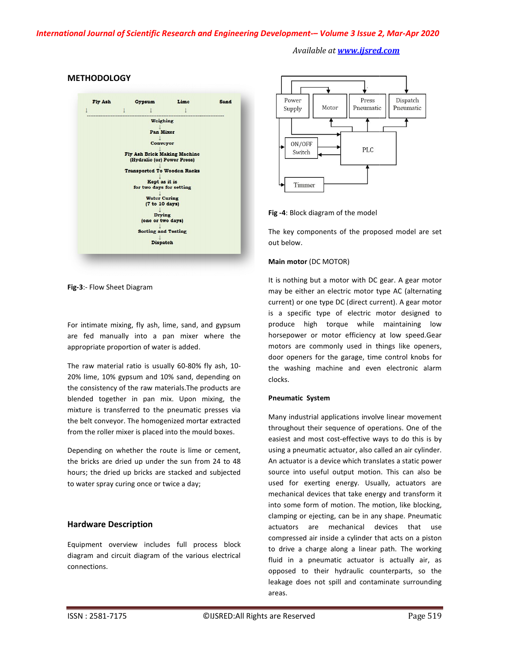# *International Journal of Scientific Research and Engineering Development Development-– Volume 3 Issue 2 2, Mar-Apr 2020*

## Fly Ash Gypsum Lime Sand  $\mathbf{1}$  $\overline{1}$  $\overline{1}$ Weighing Pan Mixer Conveyor Fly Ash Brick Making Machine (Hydralic (or) Power Press) **Transported To Wooden Racks** Kept as it is for two days for setting Water Curing (7 to 10 days)

#### **METHODOLOGY**

**Fig-3**:- Flow Sheet Diagram

For intimate mixing, fly ash, lime, sand, and gypsum are fed manually into a pan mixer where the appropriate proportion of water is added. For intimate mixing, fly ash, lime, sand, and gypsum<br>are fed manually into a pan mixer where the<br>appropriate proportion of water is added.<br>The raw material ratio is usually 60-80% fly ash, 10-

20% lime, 10% gypsum and 10% sand, depending on the consistency of the raw materials.The products are blended together in pan mix. Upon mixing, the mixture is transferred to the pneumatic presses via the belt conveyor. The homogenized mortar extracted from the roller mixer is placed into the mould boxes.

Depending on whether the route is lime or cement, the bricks are dried up under the sun from 24 to 48 hours; the dried up bricks are stacked and subjected to water spray curing once or twice a day;

# **Hardware Description**

Equipment overview includes full process block diagram and circuit diagram of the various electrical connections.

# *Available at www.ijsred.com*



The key components of the proposed model are set proposed are set out below.

#### **Main motor** (DC MOTOR)

It is nothing but a motor with DC gear. A gear motor may be either an electric motor type AC (alternating current) or one type DC (direct current). A gear motor is a specific type of electric motor designed to produce high torque while maintaining low high low horsepower or motor efficiency at low speed.Gear motors are commonly used in things like openers, door openers for the garage, time control knobs for the washing machine and even electronic alarm clocks. with DC gear. A gear motor<br>motor type AC (alternating<br>lirect current). A gear motor<br>lectric motor designed to

#### **Pneumatic System**

**Eig -4:** Block diagram of the model<br> **Eig -4:** Block diagram of the prop<br> **Eige -1:** Block diagram of the prop<br> **Eige -1:** Block diagram the brond with DCL<br> **Main motor** (DC MOTOR)<br> **Assume that the full gram of the full** Many industrial applications involve linear movement throughout their sequence of operations. One of the easiest and most cost-effective ways to do this is by using a pneumatic actuator, also called an air cylinder. An actuator is a device which translates a static power using a pneumatic actuator, also called an air cylinder.<br>An actuator is a device which translates a static power<br>source into useful output motion. This can also be used for exerting energy. Usually, actuators are mechanical devices that take energy and transform it into some form of motion. The motion, like blocking, clamping or ejecting, can be in any shape. Pneumatic actuators are mechanical devices that use compressed air inside a cylinder that acts on a to drive a charge along a linear path. The working fluid in a pneumatic actuator is actually air, as opposed to their hydraulic counterparts, so the leakage does not spill and contaminate surrounding areas. some form of motion. The motion, like blocking,<br>ping or ejecting, can be in any shape. Pneumatic<br>ators are mechanical devices that use<br>pressed air inside a cylinder that acts on a piston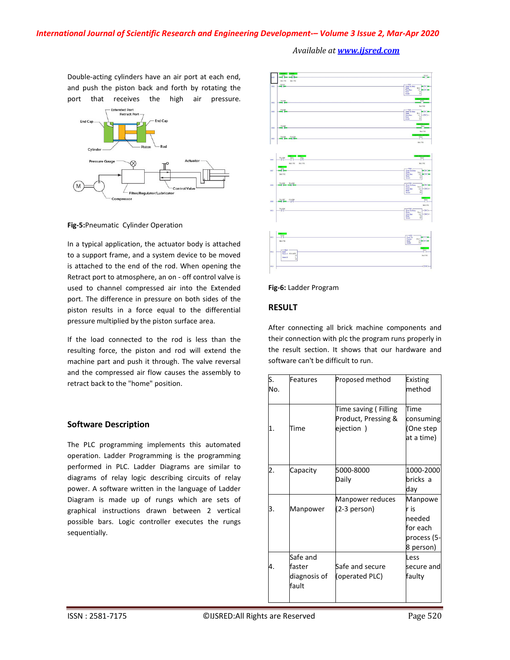Double-acting cylinders have an air port at each end, and push the piston back and forth by rotating the port that receives the high air pressure.



**Fig-5:**Pneumatic Cylinder Operation

In a typical application, the actuator body is attached to a support frame, and a system device to be moved is attached to the end of the rod. When opening the Retract port to atmosphere, an on - off control valve is used to channel compressed air into the Extended port. The difference in pressure on both sides of the piston results in a force equal to the differential pressure multiplied by the piston surface area.

If the load connected to the rod is less than the resulting force, the piston and rod will extend the machine part and push it through. The valve reversal and the compressed air flow causes the assembly to retract back to the "home" position.

# **Software Description**

The PLC programming implements this automated operation. Ladder Programming is the programming performed in PLC. Ladder Diagrams are similar to diagrams of relay logic describing circuits of relay power. A software written in the language of Ladder Diagram is made up of rungs which are sets of graphical instructions drawn between 2 vertical possible bars. Logic controller executes the rungs sequentially.



*Available at www.ijsred.com*

#### **Fig-6:** Ladder Program

## **RESULT**

After connecting all brick machine components and their connection with plc the program runs properly in the result section. It shows that our hardware and software can't be difficult to run.

| S.<br>No. | Features                                    | Proposed method                                           | Existing<br>method                                                |
|-----------|---------------------------------------------|-----------------------------------------------------------|-------------------------------------------------------------------|
|           | Time                                        | Time saving (Filling<br>Product, Pressing &<br>ejection ) | Time<br>consuming<br>(One step<br>at a time)                      |
| 2.        | Capacity                                    | 5000-8000<br>Daily                                        | 1000-2000<br>bricks a<br>day                                      |
| З.        | Manpower                                    | Manpower reduces<br>(2-3 person)                          | Manpowe<br>r is<br>needed<br>for each<br>process (5-<br>8 person) |
| 4         | Safe and<br>faster<br>diagnosis of<br>fault | Safe and secure<br>(operated PLC)                         | Less<br>secure and<br>faulty                                      |